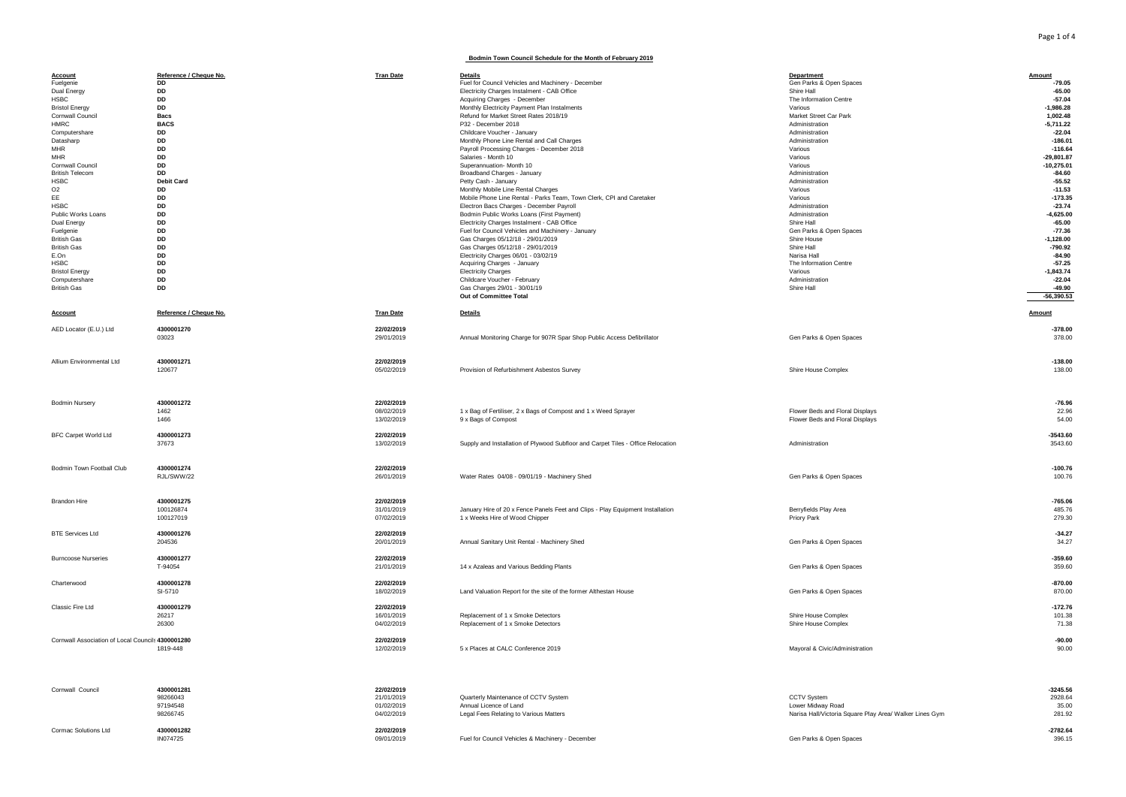## **Bodmin Town Council Schedule for the Month of February 2019**

| <b>Account</b>                                    | Reference / Cheque No. | <b>Tran Date</b> | Details                                                                          | Department                                              | Amount        |
|---------------------------------------------------|------------------------|------------------|----------------------------------------------------------------------------------|---------------------------------------------------------|---------------|
| Fuelgenie                                         | <b>DD</b>              |                  | Fuel for Council Vehicles and Machinery - December                               | Gen Parks & Open Spaces                                 | $-79.05$      |
|                                                   |                        |                  |                                                                                  |                                                         |               |
| Dual Energy                                       | DD                     |                  | Electricity Charges Instalment - CAB Office                                      | Shire Hall                                              | $-65.00$      |
| <b>HSBC</b>                                       | <b>DD</b>              |                  | Acquiring Charges - December                                                     | The Information Centre                                  | $-57.04$      |
| <b>Bristol Energy</b>                             | <b>DD</b>              |                  | Monthly Electricity Payment Plan Instalments                                     | Various                                                 | $-1.986.28$   |
| Cornwall Council                                  | <b>Bacs</b>            |                  | Refund for Market Street Rates 2018/19                                           | Market Street Car Park                                  | 1,002.48      |
| HMRC.                                             |                        |                  |                                                                                  |                                                         |               |
|                                                   | <b>BACS</b>            |                  | P32 - December 2018                                                              | Administration                                          | $-5,711.22$   |
| Computershare                                     | <b>DD</b>              |                  | Childcare Voucher - January                                                      | Administration                                          | $-22.04$      |
| Datasharp                                         | DD                     |                  | Monthly Phone Line Rental and Call Charges                                       | Administration                                          | $-186.01$     |
| <b>MHR</b>                                        | <b>DD</b>              |                  |                                                                                  | Various                                                 | $-116.64$     |
|                                                   |                        |                  | Payroll Processing Charges - December 2018                                       |                                                         |               |
| <b>MHR</b>                                        | DD                     |                  | Salaries - Month 10                                                              | Various                                                 | $-29,801.87$  |
| Cornwall Council                                  | DD                     |                  | Superannuation- Month 10                                                         | Various                                                 | $-10,275.01$  |
| <b>British Telecom</b>                            | <b>DD</b>              |                  | Broadband Charges - January                                                      | Administration                                          | $-84.60$      |
|                                                   |                        |                  |                                                                                  |                                                         |               |
| <b>HSBC</b>                                       | <b>Debit Card</b>      |                  | Petty Cash - January                                                             | Administration                                          | $-55.52$      |
| O <sub>2</sub>                                    | <b>DD</b>              |                  | Monthly Mobile Line Rental Charges                                               | Various                                                 | $-11.53$      |
| EE                                                | DD                     |                  | Mobile Phone Line Rental - Parks Team, Town Clerk, CPI and Caretaker             | Various                                                 | $-173.35$     |
| <b>HSBC</b>                                       | DD                     |                  | Electron Bacs Charges - December Payroll                                         | Administration                                          | $-23.74$      |
|                                                   |                        |                  |                                                                                  |                                                         |               |
| Public Works Loans                                | DD                     |                  | Bodmin Public Works Loans (First Payment)                                        | Administration                                          | $-4,625.00$   |
| Dual Energy                                       | DD                     |                  | Electricity Charges Instalment - CAB Office                                      | Shire Hall                                              | $-65.00$      |
| Fuelgenie                                         | DD                     |                  | Fuel for Council Vehicles and Machinery - January                                | Gen Parks & Open Spaces                                 | $-77.36$      |
|                                                   |                        |                  |                                                                                  |                                                         |               |
| <b>British Gas</b>                                | <b>DD</b>              |                  | Gas Charges 05/12/18 - 29/01/2019                                                | Shire House                                             | $-1.128.00$   |
| <b>British Gas</b>                                | DD                     |                  | Gas Charges 05/12/18 - 29/01/2019                                                | Shire Hall                                              | $-790.92$     |
| E.On                                              | DD                     |                  | Electricity Charges 06/01 - 03/02/19                                             | Narisa Hall                                             | $-84.90$      |
|                                                   |                        |                  |                                                                                  |                                                         |               |
| <b>HSBC</b>                                       | DD                     |                  | Acquiring Charges - January                                                      | The Information Centre                                  | $-57.25$      |
| <b>Bristol Energy</b>                             | DD                     |                  | <b>Electricity Charges</b>                                                       | Various                                                 | $-1,843.74$   |
| Computershare                                     | <b>DD</b>              |                  | Childcare Voucher - February                                                     | Administration                                          | $-22.04$      |
| <b>British Gas</b>                                | <b>DD</b>              |                  | Gas Charges 29/01 - 30/01/19                                                     | Shire Hall                                              | $-49.90$      |
|                                                   |                        |                  |                                                                                  |                                                         |               |
|                                                   |                        |                  | Out of Committee Total                                                           |                                                         | $-56,390.53$  |
|                                                   |                        |                  |                                                                                  |                                                         |               |
|                                                   | Reference / Cheque No. |                  |                                                                                  |                                                         |               |
| <b>Account</b>                                    |                        | <b>Tran Date</b> | Details                                                                          |                                                         | <b>Amount</b> |
|                                                   |                        |                  |                                                                                  |                                                         |               |
| AED Locator (E.U.) Ltd                            | 4300001270             | 22/02/2019       |                                                                                  |                                                         | $-378.00$     |
|                                                   | 03023                  | 29/01/2019       | Annual Monitoring Charge for 907R Spar Shop Public Access Defibrillator          | Gen Parks & Open Spaces                                 | 378.00        |
|                                                   |                        |                  |                                                                                  |                                                         |               |
|                                                   |                        |                  |                                                                                  |                                                         |               |
|                                                   |                        |                  |                                                                                  |                                                         |               |
| Allium Environmental Ltd                          | 4300001271             | 22/02/2019       |                                                                                  |                                                         | $-138.00$     |
|                                                   |                        |                  |                                                                                  |                                                         |               |
|                                                   | 120677                 | 05/02/2019       | Provision of Refurbishment Asbestos Survey                                       | Shire House Complex                                     | 138.00        |
|                                                   |                        |                  |                                                                                  |                                                         |               |
|                                                   |                        |                  |                                                                                  |                                                         |               |
|                                                   |                        |                  |                                                                                  |                                                         |               |
|                                                   |                        |                  |                                                                                  |                                                         |               |
| <b>Bodmin Nursery</b>                             | 4300001272             | 22/02/2019       |                                                                                  |                                                         | $-76.96$      |
|                                                   | 1462                   | 08/02/2019       | 1 x Bag of Fertiliser, 2 x Bags of Compost and 1 x Weed Sprayer                  | Flower Beds and Floral Displays                         | 22.96         |
|                                                   |                        |                  |                                                                                  |                                                         |               |
|                                                   | 1466                   | 13/02/2019       | 9 x Bags of Compost                                                              | Flower Beds and Floral Displays                         | 54.00         |
|                                                   |                        |                  |                                                                                  |                                                         |               |
| BFC Carpet World Ltd                              | 4300001273             | 22/02/2019       |                                                                                  |                                                         | $-3543.60$    |
|                                                   |                        |                  |                                                                                  | Administration                                          |               |
|                                                   | 37673                  | 13/02/2019       | Supply and Installation of Plywood Subfloor and Carpet Tiles - Office Relocation |                                                         | 3543.60       |
|                                                   |                        |                  |                                                                                  |                                                         |               |
|                                                   |                        |                  |                                                                                  |                                                         |               |
| Bodmin Town Football Club                         | 4300001274             | 22/02/2019       |                                                                                  |                                                         | $-100.76$     |
|                                                   |                        |                  |                                                                                  |                                                         |               |
|                                                   | RJL/SWW/22             | 26/01/2019       | Water Rates 04/08 - 09/01/19 - Machinery Shed                                    | Gen Parks & Open Spaces                                 | 100.76        |
|                                                   |                        |                  |                                                                                  |                                                         |               |
|                                                   |                        |                  |                                                                                  |                                                         |               |
|                                                   |                        |                  |                                                                                  |                                                         |               |
| <b>Brandon Hire</b>                               | 4300001275             | 22/02/2019       |                                                                                  |                                                         | $-765.06$     |
|                                                   | 100126874              | 31/01/2019       | January Hire of 20 x Fence Panels Feet and Clips - Play Equipment Installation   | Berryfields Play Area                                   | 485.76        |
|                                                   | 100127019              | 07/02/2019       | 1 x Weeks Hire of Wood Chipper                                                   | Priory Park                                             | 279.30        |
|                                                   |                        |                  |                                                                                  |                                                         |               |
|                                                   |                        |                  |                                                                                  |                                                         |               |
| <b>BTE Services Ltd</b>                           | 4300001276             | 22/02/2019       |                                                                                  |                                                         | $-34.27$      |
|                                                   | 204536                 | 20/01/2019       | Annual Sanitary Unit Rental - Machinery Shed                                     | Gen Parks & Open Spaces                                 | 34.27         |
|                                                   |                        |                  |                                                                                  |                                                         |               |
|                                                   | 4300001277             | 22/02/2019       |                                                                                  |                                                         | $-359.60$     |
| <b>Burncoose Nurseries</b>                        |                        |                  |                                                                                  |                                                         |               |
|                                                   | T-94054                | 21/01/2019       | 14 x Azaleas and Various Bedding Plants                                          | Gen Parks & Open Spaces                                 | 359.60        |
|                                                   |                        |                  |                                                                                  |                                                         |               |
| Charterwood                                       | 4300001278             | 22/02/2019       |                                                                                  |                                                         | $-870.00$     |
|                                                   |                        |                  |                                                                                  |                                                         |               |
|                                                   | SI-5710                | 18/02/2019       | Land Valuation Report for the site of the former Althestan House                 | Gen Parks & Open Spaces                                 | 870.00        |
|                                                   |                        |                  |                                                                                  |                                                         |               |
| Classic Fire Ltd                                  | 4300001279             | 22/02/2019       |                                                                                  |                                                         | $-172.76$     |
|                                                   |                        |                  |                                                                                  |                                                         |               |
|                                                   | 26217                  | 16/01/2019       | Replacement of 1 x Smoke Detectors                                               | Shire House Complex                                     | 101.38        |
|                                                   | 26300                  | 04/02/2019       | Replacement of 1 x Smoke Detectors                                               | Shire House Complex                                     | 71.38         |
|                                                   |                        |                  |                                                                                  |                                                         |               |
|                                                   |                        |                  |                                                                                  |                                                         |               |
| Cornwall Association of Local Council: 4300001280 |                        | 22/02/2019       |                                                                                  |                                                         | $-90.00$      |
|                                                   | 1819-448               | 12/02/2019       | 5 x Places at CALC Conference 2019                                               | Mayoral & Civic/Administration                          | 90.00         |
|                                                   |                        |                  |                                                                                  |                                                         |               |
|                                                   |                        |                  |                                                                                  |                                                         |               |
|                                                   |                        |                  |                                                                                  |                                                         |               |
| Cornwall Council                                  | 4300001281             | 22/02/2019       |                                                                                  |                                                         | $-3245.56$    |
|                                                   | 98266043               | 21/01/2019       | Quarterly Maintenance of CCTV System                                             | <b>CCTV System</b>                                      | 2928.64       |
|                                                   |                        |                  |                                                                                  |                                                         |               |
|                                                   | 97194548               | 01/02/2019       | Annual Licence of Land                                                           | Lower Midway Road                                       | 35.00         |
|                                                   | 98266745               | 04/02/2019       | Legal Fees Relating to Various Matters                                           | Narisa Hall/Victoria Square Play Area/ Walker Lines Gym | 281.92        |
|                                                   |                        |                  |                                                                                  |                                                         |               |
|                                                   |                        |                  |                                                                                  |                                                         |               |
| Cormac Solutions Ltd                              | 4300001282             | 22/02/2019       |                                                                                  |                                                         | $-2782.64$    |
|                                                   | IN074725               | 09/01/2019       | Fuel for Council Vehicles & Machinery - December                                 | Gen Parks & Open Spaces                                 | 396.15        |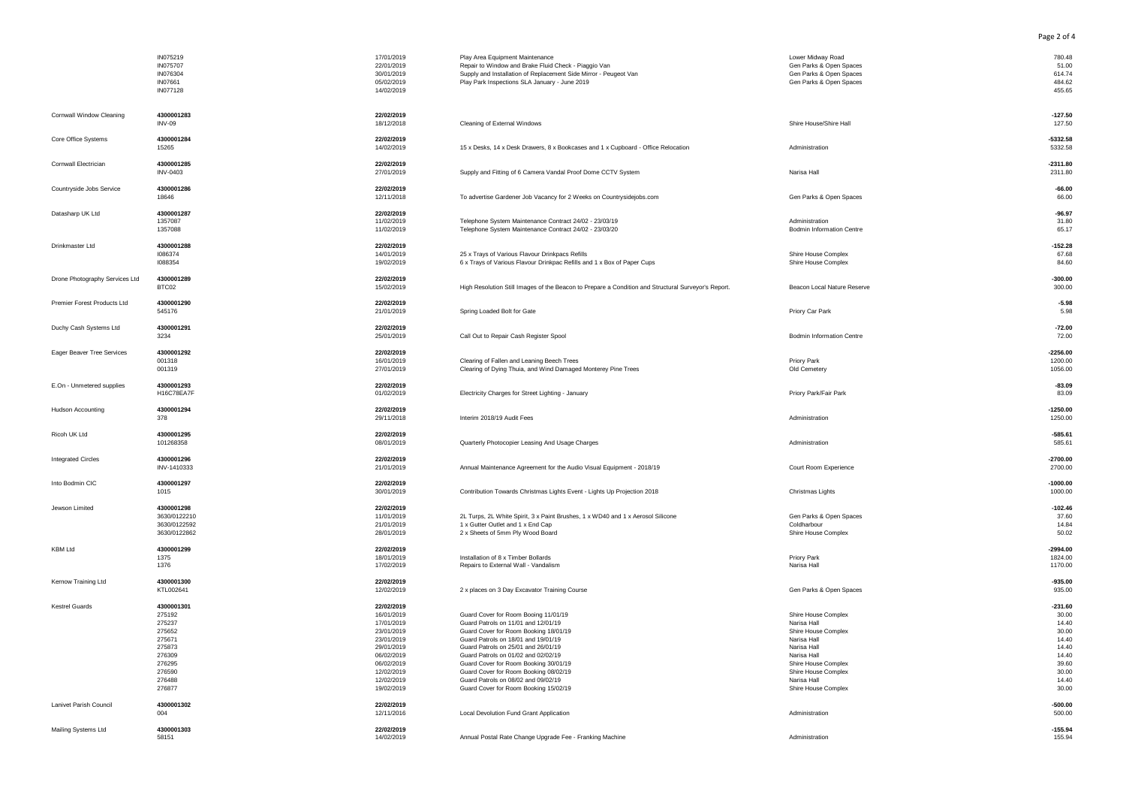|                                | IN075219<br>IN075707<br>IN076304<br>IN07661<br>IN077128                                                        | 17/01/2019<br>22/01/2019<br>30/01/2019<br>05/02/2019<br>14/02/2019                                                                                     | Play Area Equipment Maintenance<br>Repair to Window and Brake Fluid Check - Piaggio Van<br>Supply and Installation of Replacement Side Mirror - Peugeot Van<br>Play Park Inspections SLA January - June 2019                                                                                                                                                                                                | Lower Midway Road<br>Gen Parks & Open Spaces<br>Gen Parks & Open Spaces<br>Gen Parks & Open Spaces                                                                                         | 780.48<br>51.00<br>614.74<br>484.62<br>455.65                                                       |
|--------------------------------|----------------------------------------------------------------------------------------------------------------|--------------------------------------------------------------------------------------------------------------------------------------------------------|-------------------------------------------------------------------------------------------------------------------------------------------------------------------------------------------------------------------------------------------------------------------------------------------------------------------------------------------------------------------------------------------------------------|--------------------------------------------------------------------------------------------------------------------------------------------------------------------------------------------|-----------------------------------------------------------------------------------------------------|
| Cornwall Window Cleaning       | 4300001283<br><b>INV-09</b>                                                                                    | 22/02/2019<br>18/12/2018                                                                                                                               | Cleaning of External Windows                                                                                                                                                                                                                                                                                                                                                                                | Shire House/Shire Hall                                                                                                                                                                     | $-127.50$<br>127.50                                                                                 |
| Core Office Systems            | 4300001284<br>15265                                                                                            | 22/02/2019<br>14/02/2019                                                                                                                               | 15 x Desks, 14 x Desk Drawers, 8 x Bookcases and 1 x Cupboard - Office Relocation                                                                                                                                                                                                                                                                                                                           | Administration                                                                                                                                                                             | $-5332.58$<br>5332.58                                                                               |
| Cornwall Electrician           | 4300001285<br><b>INV-0403</b>                                                                                  | 22/02/2019<br>27/01/2019                                                                                                                               | Supply and Fitting of 6 Camera Vandal Proof Dome CCTV System                                                                                                                                                                                                                                                                                                                                                | Narisa Hall                                                                                                                                                                                | $-2311.80$<br>2311.80                                                                               |
| Countryside Jobs Service       | 4300001286<br>18646                                                                                            | 22/02/2019<br>12/11/2018                                                                                                                               | To advertise Gardener Job Vacancy for 2 Weeks on Countrysidejobs.com                                                                                                                                                                                                                                                                                                                                        | Gen Parks & Open Spaces                                                                                                                                                                    | $-66.00$<br>66.00                                                                                   |
| Datasharp UK Ltd               | 4300001287<br>1357087<br>1357088                                                                               | 22/02/2019<br>11/02/2019<br>11/02/2019                                                                                                                 | Telephone System Maintenance Contract 24/02 - 23/03/19<br>Telephone System Maintenance Contract 24/02 - 23/03/20                                                                                                                                                                                                                                                                                            | Administration<br><b>Bodmin Information Centre</b>                                                                                                                                         | $-96.97$<br>31.80<br>65.17                                                                          |
| Drinkmaster Ltd                | 4300001288<br>1086374<br>1088354                                                                               | 22/02/2019<br>14/01/2019<br>19/02/2019                                                                                                                 | 25 x Trays of Various Flavour Drinkpacs Refills<br>6 x Trays of Various Flavour Drinkpac Refills and 1 x Box of Paper Cups                                                                                                                                                                                                                                                                                  | Shire House Complex<br>Shire House Complex                                                                                                                                                 | $-152.28$<br>67.68<br>84.60                                                                         |
| Drone Photography Services Ltd | 4300001289<br>BTC02                                                                                            | 22/02/2019<br>15/02/2019                                                                                                                               | High Resolution Still Images of the Beacon to Prepare a Condition and Structural Surveyor's Report.                                                                                                                                                                                                                                                                                                         | Beacon Local Nature Reserve                                                                                                                                                                | $-300.00$<br>300.00                                                                                 |
| Premier Forest Products Ltd    | 4300001290<br>545176                                                                                           | 22/02/2019<br>21/01/2019                                                                                                                               | Spring Loaded Bolt for Gate                                                                                                                                                                                                                                                                                                                                                                                 | Priory Car Park                                                                                                                                                                            | $-5.98$<br>5.98                                                                                     |
| Duchy Cash Systems Ltd         | 4300001291<br>3234                                                                                             | 22/02/2019<br>25/01/2019                                                                                                                               | Call Out to Repair Cash Register Spool                                                                                                                                                                                                                                                                                                                                                                      | <b>Bodmin Information Centre</b>                                                                                                                                                           | $-72.00$<br>72.00                                                                                   |
| Eager Beaver Tree Services     | 4300001292<br>001318<br>001319                                                                                 | 22/02/2019<br>16/01/2019<br>27/01/2019                                                                                                                 | Clearing of Fallen and Leaning Beech Trees<br>Clearing of Dying Thuia, and Wind Damaged Monterey Pine Trees                                                                                                                                                                                                                                                                                                 | Priory Park<br>Old Cemetery                                                                                                                                                                | $-2256.00$<br>1200.00<br>1056.00                                                                    |
| E.On - Unmetered supplies      | 4300001293<br>H16C78EA7F                                                                                       | 22/02/2019<br>01/02/2019                                                                                                                               | Electricity Charges for Street Lighting - January                                                                                                                                                                                                                                                                                                                                                           | Priory Park/Fair Park                                                                                                                                                                      | $-83.09$<br>83.09                                                                                   |
| <b>Hudson Accounting</b>       | 4300001294<br>378                                                                                              | 22/02/2019<br>29/11/2018                                                                                                                               | Interim 2018/19 Audit Fees                                                                                                                                                                                                                                                                                                                                                                                  | Administration                                                                                                                                                                             | $-1250.00$<br>1250.00                                                                               |
| Ricoh UK Ltd                   | 4300001295<br>101268358                                                                                        | 22/02/2019<br>08/01/2019                                                                                                                               | Quarterly Photocopier Leasing And Usage Charges                                                                                                                                                                                                                                                                                                                                                             | Administration                                                                                                                                                                             | $-585.61$<br>585.61                                                                                 |
| <b>Integrated Circles</b>      | 4300001296<br>INV-1410333                                                                                      | 22/02/2019<br>21/01/2019                                                                                                                               | Annual Maintenance Agreement for the Audio Visual Equipment - 2018/19                                                                                                                                                                                                                                                                                                                                       | Court Room Experience                                                                                                                                                                      | $-2700.00$<br>2700.00                                                                               |
| Into Bodmin CIC                | 4300001297<br>1015                                                                                             | 22/02/2019<br>30/01/2019                                                                                                                               | Contribution Towards Christmas Lights Event - Lights Up Projection 2018                                                                                                                                                                                                                                                                                                                                     | Christmas Lights                                                                                                                                                                           | $-1000.00$<br>1000.00                                                                               |
| Jewson Limited                 | 4300001298<br>3630/0122210<br>3630/0122592<br>3630/0122862                                                     | 22/02/2019<br>11/01/2019<br>21/01/2019<br>28/01/2019                                                                                                   | 2L Turps, 2L White Spirit, 3 x Paint Brushes, 1 x WD40 and 1 x Aerosol Silicone<br>1 x Gutter Outlet and 1 x End Cap<br>2 x Sheets of 5mm Ply Wood Board                                                                                                                                                                                                                                                    | Gen Parks & Open Spaces<br>Coldharbour<br>Shire House Complex                                                                                                                              | $-102.46$<br>37.60<br>14.84<br>50.02                                                                |
| <b>KBM Ltd</b>                 | 4300001299<br>1375<br>1376                                                                                     | 22/02/2019<br>18/01/2019<br>17/02/2019                                                                                                                 | Installation of 8 x Timber Bollards<br>Repairs to External Wall - Vandalism                                                                                                                                                                                                                                                                                                                                 | Priory Park<br>Narisa Hall                                                                                                                                                                 | $-2994.00$<br>1824.00<br>1170.00                                                                    |
| Kernow Training Ltd            | 4300001300<br>KTL002641                                                                                        | 22/02/2019<br>12/02/2019                                                                                                                               | 2 x places on 3 Day Excavator Training Course                                                                                                                                                                                                                                                                                                                                                               | Gen Parks & Open Spaces                                                                                                                                                                    | $-935.00$<br>935.00                                                                                 |
| <b>Kestrel Guards</b>          | 4300001301<br>275192<br>275237<br>275652<br>275671<br>275873<br>276309<br>276295<br>276590<br>276488<br>276877 | 22/02/2019<br>16/01/2019<br>17/01/2019<br>23/01/2019<br>23/01/2019<br>29/01/2019<br>06/02/2019<br>06/02/2019<br>12/02/2019<br>12/02/2019<br>19/02/2019 | Guard Cover for Room Booing 11/01/19<br>Guard Patrols on 11/01 and 12/01/19<br>Guard Cover for Room Booking 18/01/19<br>Guard Patrols on 18/01 and 19/01/19<br>Guard Patrols on 25/01 and 26/01/19<br>Guard Patrols on 01/02 and 02/02/19<br>Guard Cover for Room Booking 30/01/19<br>Guard Cover for Room Booking 08/02/19<br>Guard Patrols on 08/02 and 09/02/19<br>Guard Cover for Room Booking 15/02/19 | Shire House Complex<br>Narisa Hall<br>Shire House Complex<br>Narisa Hall<br>Narisa Hall<br>Narisa Hall<br>Shire House Complex<br>Shire House Complex<br>Narisa Hall<br>Shire House Complex | $-231.60$<br>30.00<br>14.40<br>30.00<br>14.40<br>14.40<br>14.40<br>39.60<br>30.00<br>14.40<br>30.00 |
| Lanivet Parish Council         | 4300001302<br>004                                                                                              | 22/02/2019<br>12/11/2016                                                                                                                               | Local Devolution Fund Grant Application                                                                                                                                                                                                                                                                                                                                                                     | Administration                                                                                                                                                                             | $-500.00$<br>500.00                                                                                 |
| Mailing Systems Ltd            | 4300001303<br>58151                                                                                            | 22/02/2019<br>14/02/2019                                                                                                                               | Annual Postal Rate Change Upgrade Fee - Franking Machine                                                                                                                                                                                                                                                                                                                                                    | Administration                                                                                                                                                                             | $-155.94$<br>155.94                                                                                 |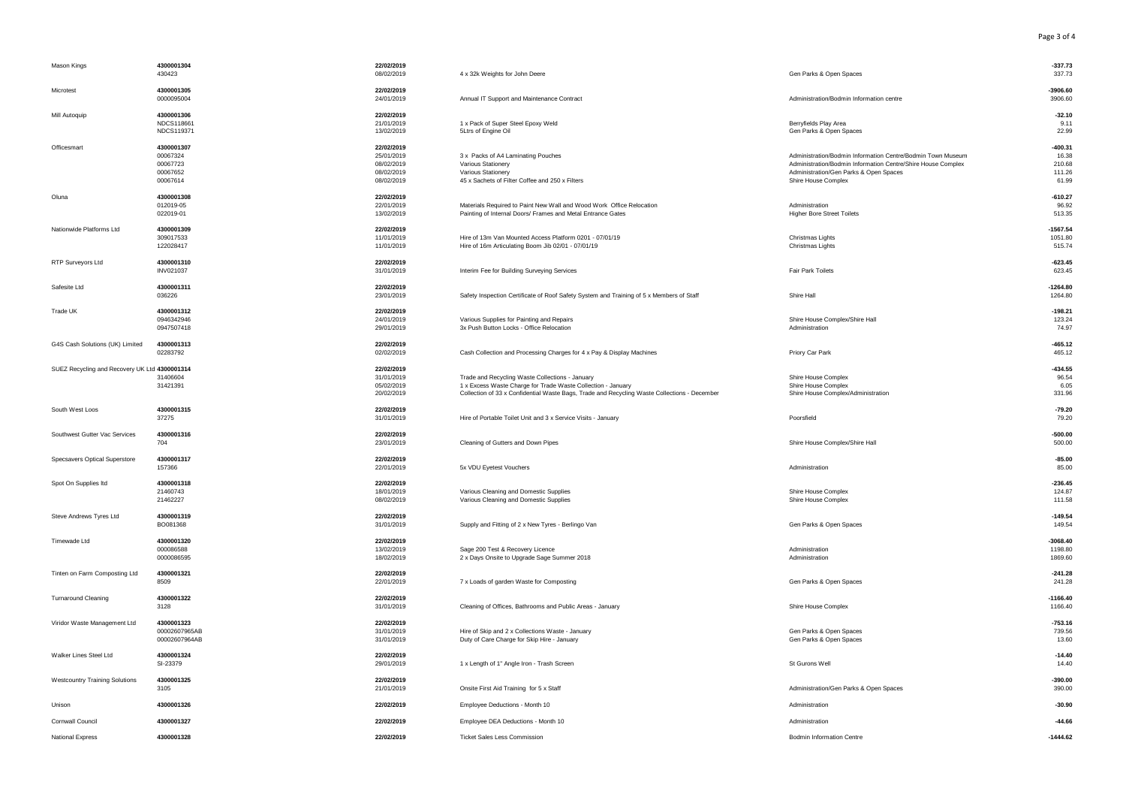| Mason Kings                                   | 4300001304<br>430423                                       | 22/02/2019<br>08/02/2019                                           | 4 x 32k Weights for John Deere                                                                                                                                                                                  | Gen Parks & Open Spaces                                                                                                                                                                      | $-337.73$<br>337.73                             |
|-----------------------------------------------|------------------------------------------------------------|--------------------------------------------------------------------|-----------------------------------------------------------------------------------------------------------------------------------------------------------------------------------------------------------------|----------------------------------------------------------------------------------------------------------------------------------------------------------------------------------------------|-------------------------------------------------|
| Microtest                                     | 4300001305<br>0000095004                                   | 22/02/2019<br>24/01/2019                                           | Annual IT Support and Maintenance Contract                                                                                                                                                                      | Administration/Bodmin Information centre                                                                                                                                                     | $-3906.60$<br>3906.60                           |
| Mill Autoquip                                 | 4300001306<br>NDCS118661<br>NDCS119371                     | 22/02/2019<br>21/01/2019<br>13/02/2019                             | 1 x Pack of Super Steel Epoxy Weld<br>5Ltrs of Engine Oil                                                                                                                                                       | Berryfields Play Area<br>Gen Parks & Open Spaces                                                                                                                                             | $-32.10$<br>9.11<br>22.99                       |
| Officesmart                                   | 4300001307<br>00067324<br>00067723<br>00067652<br>00067614 | 22/02/2019<br>25/01/2019<br>08/02/2019<br>08/02/2019<br>08/02/2019 | 3 x Packs of A4 Laminating Pouches<br>Various Stationery<br>Various Stationery<br>45 x Sachets of Filter Coffee and 250 x Filters                                                                               | Administration/Bodmin Information Centre/Bodmin Town Museum<br>Administration/Bodmin Information Centre/Shire House Complex<br>Administration/Gen Parks & Open Spaces<br>Shire House Complex | $-400.31$<br>16.38<br>210.68<br>111.26<br>61.99 |
| Oluna                                         | 4300001308<br>012019-05<br>022019-01                       | 22/02/2019<br>22/01/2019<br>13/02/2019                             | Materials Required to Paint New Wall and Wood Work Office Relocation<br>Painting of Internal Doors/ Frames and Metal Entrance Gates                                                                             | Administration<br><b>Higher Bore Street Toilets</b>                                                                                                                                          | $-610.27$<br>96.92<br>513.35                    |
| Nationwide Platforms Ltd                      | 4300001309<br>309017533<br>122028417                       | 22/02/2019<br>11/01/2019<br>11/01/2019                             | Hire of 13m Van Mounted Access Platform 0201 - 07/01/19<br>Hire of 16m Articulating Boom Jib 02/01 - 07/01/19                                                                                                   | Christmas Lights<br>Christmas Lights                                                                                                                                                         | $-1567.54$<br>1051.80<br>515.74                 |
| RTP Surveyors Ltd                             | 4300001310<br>INV021037                                    | 22/02/2019<br>31/01/2019                                           | Interim Fee for Building Surveying Services                                                                                                                                                                     | Fair Park Toilets                                                                                                                                                                            | $-623.45$<br>623.45                             |
| Safesite Ltd                                  | 4300001311<br>036226                                       | 22/02/2019<br>23/01/2019                                           | Safety Inspection Certificate of Roof Safety System and Training of 5 x Members of Staff                                                                                                                        | Shire Hall                                                                                                                                                                                   | $-1264.80$<br>1264.80                           |
| Trade UK                                      | 4300001312<br>0946342946<br>0947507418                     | 22/02/2019<br>24/01/2019<br>29/01/2019                             | Various Supplies for Painting and Repairs<br>3x Push Button Locks - Office Relocation                                                                                                                           | Shire House Complex/Shire Hall<br>Administration                                                                                                                                             | $-198.21$<br>123.24<br>74.97                    |
| G4S Cash Solutions (UK) Limited               | 4300001313<br>02283792                                     | 22/02/2019<br>02/02/2019                                           | Cash Collection and Processing Charges for 4 x Pay & Display Machines                                                                                                                                           | Priory Car Park                                                                                                                                                                              | $-465.12$<br>465.12                             |
| SUEZ Recycling and Recovery UK Ltd 4300001314 | 31406604<br>31421391                                       | 22/02/2019<br>31/01/2019<br>05/02/2019<br>20/02/2019               | Trade and Recycling Waste Collections - January<br>1 x Excess Waste Charge for Trade Waste Collection - January<br>Collection of 33 x Confidential Waste Bags, Trade and Recycling Waste Collections - December | Shire House Complex<br>Shire House Complex<br>Shire House Complex/Administration                                                                                                             | $-434.55$<br>96.54<br>6.05<br>331.96            |
| South West Loos                               | 4300001315<br>37275                                        | 22/02/2019<br>31/01/2019                                           | Hire of Portable Toilet Unit and 3 x Service Visits - January                                                                                                                                                   | Poorsfield                                                                                                                                                                                   | $-79.20$<br>79.20                               |
| Southwest Gutter Vac Services                 | 4300001316<br>704                                          | 22/02/2019<br>23/01/2019                                           | Cleaning of Gutters and Down Pipes                                                                                                                                                                              | Shire House Complex/Shire Hall                                                                                                                                                               | $-500.00$<br>500.00                             |
| Specsavers Optical Superstore                 | 4300001317<br>157366                                       | 22/02/2019<br>22/01/2019                                           | 5x VDU Eyetest Vouchers                                                                                                                                                                                         | Administration                                                                                                                                                                               | $-85.00$<br>85.00                               |
| Spot On Supplies Itd                          | 4300001318<br>21460743<br>21462227                         | 22/02/2019<br>18/01/2019<br>08/02/2019                             | Various Cleaning and Domestic Supplies<br>Various Cleaning and Domestic Supplies                                                                                                                                | Shire House Complex<br>Shire House Complex                                                                                                                                                   | $-236.45$<br>124.87<br>111.58                   |
| Steve Andrews Tyres Ltd                       | 4300001319<br>BO081368                                     | 22/02/2019<br>31/01/2019                                           | Supply and Fitting of 2 x New Tyres - Berlingo Van                                                                                                                                                              | Gen Parks & Open Spaces                                                                                                                                                                      | $-149.54$<br>149.54                             |
| Timewade Ltd                                  | 4300001320<br>000086588<br>0000086595                      | 22/02/2019<br>13/02/2019<br>18/02/2019                             | Sage 200 Test & Recovery Licence<br>2 x Days Onsite to Upgrade Sage Summer 2018                                                                                                                                 | Administration<br>Administration                                                                                                                                                             | $-3068.40$<br>1198.80<br>1869.60                |
| Tinten on Farm Composting Ltd                 | 4300001321<br>8509                                         | 22/02/2019<br>22/01/2019                                           | 7 x Loads of garden Waste for Composting                                                                                                                                                                        | Gen Parks & Open Spaces                                                                                                                                                                      | $-241.28$<br>241.28                             |
| <b>Turnaround Cleaning</b>                    | 4300001322<br>3128                                         | 22/02/2019<br>31/01/2019                                           | Cleaning of Offices, Bathrooms and Public Areas - January                                                                                                                                                       | Shire House Complex                                                                                                                                                                          | $-1166.40$<br>1166.40                           |
| Viridor Waste Management Ltd                  | 4300001323<br>00002607965AB<br>00002607964AB               | 22/02/2019<br>31/01/2019<br>31/01/2019                             | Hire of Skip and 2 x Collections Waste - January<br>Duty of Care Charge for Skip Hire - January                                                                                                                 | Gen Parks & Open Spaces<br>Gen Parks & Open Spaces                                                                                                                                           | $-753.16$<br>739.56<br>13.60                    |
| Walker Lines Steel Ltd                        | 4300001324<br>SI-23379                                     | 22/02/2019<br>29/01/2019                                           | 1 x Length of 1" Angle Iron - Trash Screen                                                                                                                                                                      | St Gurons Well                                                                                                                                                                               | $-14.40$<br>14.40                               |
| <b>Westcountry Training Solutions</b>         | 4300001325<br>3105                                         | 22/02/2019<br>21/01/2019                                           | Onsite First Aid Training for 5 x Staff                                                                                                                                                                         | Administration/Gen Parks & Open Spaces                                                                                                                                                       | $-390.00$<br>390.00                             |
| Unison                                        | 4300001326                                                 | 22/02/2019                                                         | Employee Deductions - Month 10                                                                                                                                                                                  | Administration                                                                                                                                                                               | $-30.90$                                        |
| Cornwall Council                              | 4300001327                                                 | 22/02/2019                                                         | Employee DEA Deductions - Month 10                                                                                                                                                                              | Administration                                                                                                                                                                               | $-44.66$                                        |
| National Express                              | 4300001328                                                 | 22/02/2019                                                         | <b>Ticket Sales Less Commission</b>                                                                                                                                                                             | <b>Bodmin Information Centre</b>                                                                                                                                                             | $-1444.62$                                      |